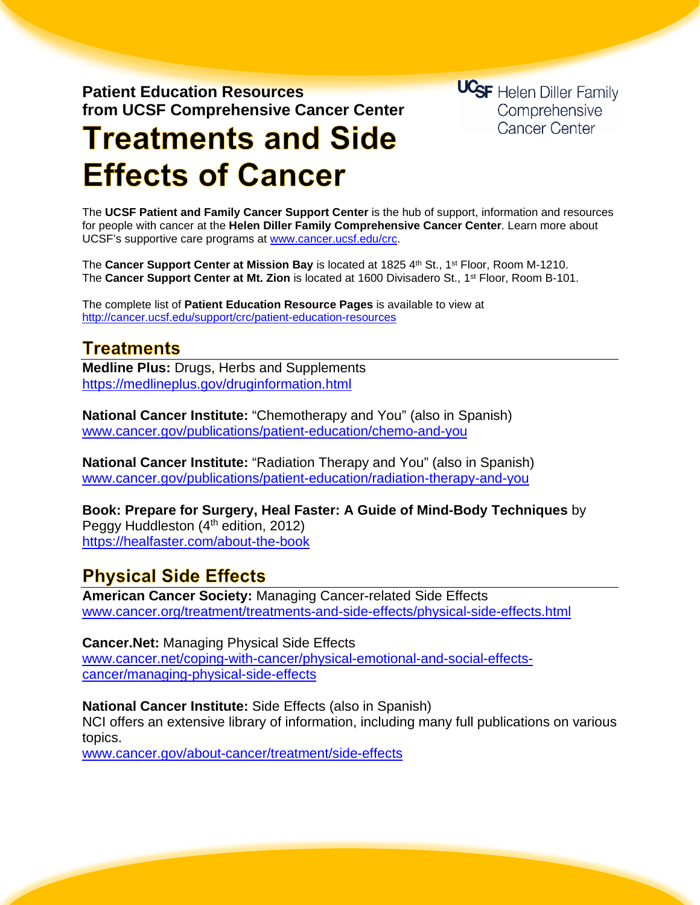**Patient Education Resources from UCSF Comprehensive Cancer Center** **UCSF** Helen Diller Family Comprehensive Cancer Center

# **Treatments and Side Effects of Cancer**

The **UCSF Patient and Family Cancer Support Center** is the hub of support, information and resources for people with cancer at the **Helen Diller Family Comprehensive Cancer Center**. Learn more about UCSF's supportive care programs at [www.cancer.ucsf.edu/crc.](http://www.cancer.ucsf.edu/crc)

The **Cancer Support Center at Mission Bay** is located at 1825 4th St., 1<sup>st</sup> Floor, Room M-1210. The **Cancer Support Center at Mt. Zion** is located at 1600 Divisadero St., 1st Floor, Room B-101.

The complete list of **Patient Education Resource Pages** is available to view at <http://cancer.ucsf.edu/support/crc/patient-education-resources>

## **Treatments**

**Medline Plus:** Drugs, Herbs and Supplements <https://medlineplus.gov/druginformation.html>

**National Cancer Institute:** "Chemotherapy and You" (also in Spanish) [www.cancer.gov/publications/patient-education/chemo-and-you](http://www.cancer.gov/publications/patient-education/chemo-and-you)

**National Cancer Institute:** "Radiation Therapy and You" (also in Spanish) [www.cancer.gov/publications/patient-education/radiation-therapy-and-you](http://www.cancer.gov/publications/patient-education/radiation-therapy-and-you)

**Book: Prepare for Surgery, Heal Faster: A Guide of Mind-Body Techniques** by Peggy Huddleston (4<sup>th</sup> edition, 2012) <https://healfaster.com/about-the-book>

## **Physical Side Effects**

**American Cancer Society:** Managing Cancer-related Side Effects [www.cancer.org/treatment/treatments-and-side-effects/physical-side-effects.html](http://www.cancer.org/treatment/treatments-and-side-effects/physical-side-effects.html)

#### **Cancer.Net:** Managing Physical Side Effects

[www.cancer.net/coping-with-cancer/physical-emotional-and-social-effects](http://www.cancer.net/coping-with-cancer/physical-emotional-and-social-effects-cancer/managing-physical-side-effects)[cancer/managing-physical-side-effects](http://www.cancer.net/coping-with-cancer/physical-emotional-and-social-effects-cancer/managing-physical-side-effects)

#### **National Cancer Institute:** Side Effects (also in Spanish)

NCI offers an extensive library of information, including many full publications on various topics.

www.cancer.gov/about-cancer/treatment/side-effects